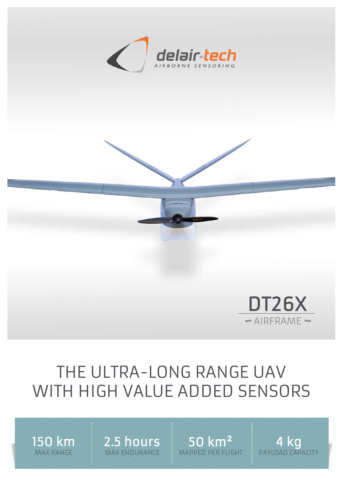



## THE ULTRA-LONG RANGE UAV WITH HIGH VALUE ADDED SENSORS

150 km MAX RANGE

2.5 hours MAX ENDURANCE

50 km² MAPPED PER FLIGHT

4 kg PAYLOAD CAPACITY